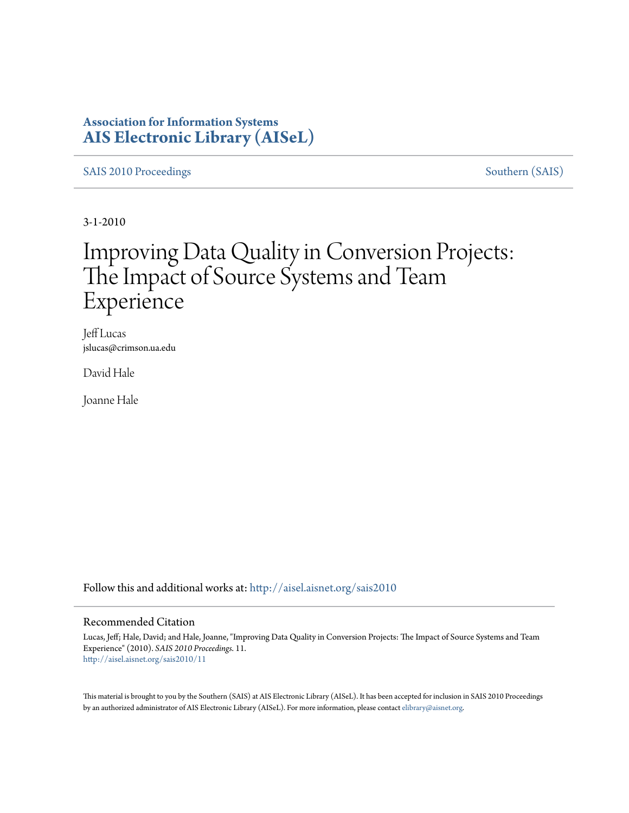### **Association for Information Systems [AIS Electronic Library \(AISeL\)](http://aisel.aisnet.org?utm_source=aisel.aisnet.org%2Fsais2010%2F11&utm_medium=PDF&utm_campaign=PDFCoverPages)**

[SAIS 2010 Proceedings](http://aisel.aisnet.org/sais2010?utm_source=aisel.aisnet.org%2Fsais2010%2F11&utm_medium=PDF&utm_campaign=PDFCoverPages) [Southern \(SAIS\)](http://aisel.aisnet.org/sais?utm_source=aisel.aisnet.org%2Fsais2010%2F11&utm_medium=PDF&utm_campaign=PDFCoverPages)

3-1-2010

# Improving Data Quality in Conversion Projects: The Impact of Source Systems and Team Experience

Jeff Lucas jslucas@crimson.ua.edu

David Hale

Joanne Hale

Follow this and additional works at: [http://aisel.aisnet.org/sais2010](http://aisel.aisnet.org/sais2010?utm_source=aisel.aisnet.org%2Fsais2010%2F11&utm_medium=PDF&utm_campaign=PDFCoverPages)

#### Recommended Citation

Lucas, Jeff; Hale, David; and Hale, Joanne, "Improving Data Quality in Conversion Projects: The Impact of Source Systems and Team Experience" (2010). *SAIS 2010 Proceedings*. 11. [http://aisel.aisnet.org/sais2010/11](http://aisel.aisnet.org/sais2010/11?utm_source=aisel.aisnet.org%2Fsais2010%2F11&utm_medium=PDF&utm_campaign=PDFCoverPages)

This material is brought to you by the Southern (SAIS) at AIS Electronic Library (AISeL). It has been accepted for inclusion in SAIS 2010 Proceedings by an authorized administrator of AIS Electronic Library (AISeL). For more information, please contact [elibrary@aisnet.org](mailto:elibrary@aisnet.org%3E).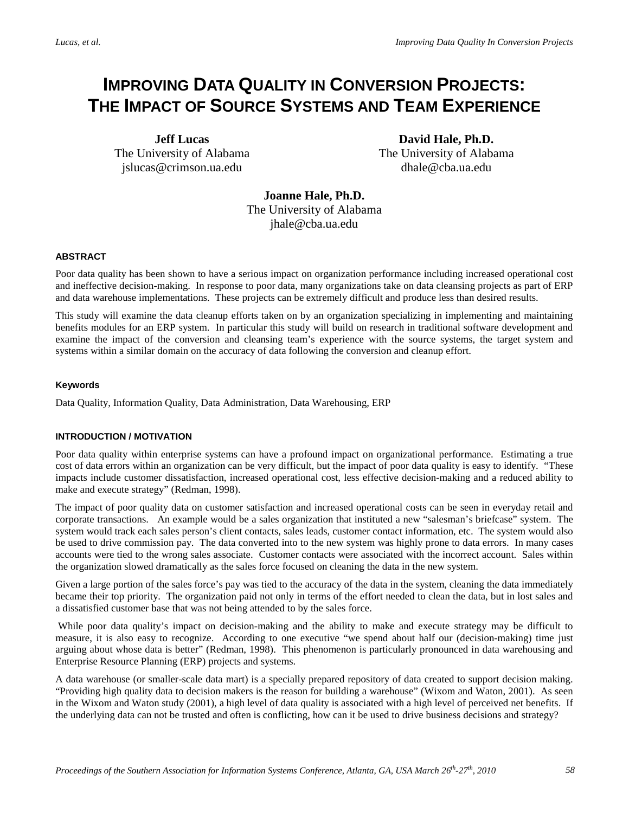## **IMPROVING DATA QUALITY IN CONVERSION PROJECTS: THE IMPACT OF SOURCE SYSTEMS AND TEAM EXPERIENCE**

**Jeff Lucas** The University of Alabama jslucas@crimson.ua.edu

**David Hale, Ph.D.** The University of Alabama dhale@cba.ua.edu

**Joanne Hale, Ph.D.**  The University of Alabama jhale@cba.ua.edu

#### **ABSTRACT**

Poor data quality has been shown to have a serious impact on organization performance including increased operational cost and ineffective decision-making. In response to poor data, many organizations take on data cleansing projects as part of ERP and data warehouse implementations. These projects can be extremely difficult and produce less than desired results.

This study will examine the data cleanup efforts taken on by an organization specializing in implementing and maintaining benefits modules for an ERP system. In particular this study will build on research in traditional software development and examine the impact of the conversion and cleansing team's experience with the source systems, the target system and systems within a similar domain on the accuracy of data following the conversion and cleanup effort.

#### **Keywords**

Data Quality, Information Quality, Data Administration, Data Warehousing, ERP

#### **INTRODUCTION / MOTIVATION**

Poor data quality within enterprise systems can have a profound impact on organizational performance. Estimating a true cost of data errors within an organization can be very difficult, but the impact of poor data quality is easy to identify. "These impacts include customer dissatisfaction, increased operational cost, less effective decision-making and a reduced ability to make and execute strategy" (Redman, 1998).

The impact of poor quality data on customer satisfaction and increased operational costs can be seen in everyday retail and corporate transactions. An example would be a sales organization that instituted a new "salesman's briefcase" system. The system would track each sales person's client contacts, sales leads, customer contact information, etc. The system would also be used to drive commission pay. The data converted into to the new system was highly prone to data errors. In many cases accounts were tied to the wrong sales associate. Customer contacts were associated with the incorrect account. Sales within the organization slowed dramatically as the sales force focused on cleaning the data in the new system.

Given a large portion of the sales force's pay was tied to the accuracy of the data in the system, cleaning the data immediately became their top priority. The organization paid not only in terms of the effort needed to clean the data, but in lost sales and a dissatisfied customer base that was not being attended to by the sales force.

While poor data quality's impact on decision-making and the ability to make and execute strategy may be difficult to measure, it is also easy to recognize. According to one executive "we spend about half our (decision-making) time just arguing about whose data is better" (Redman, 1998). This phenomenon is particularly pronounced in data warehousing and Enterprise Resource Planning (ERP) projects and systems.

A data warehouse (or smaller-scale data mart) is a specially prepared repository of data created to support decision making. "Providing high quality data to decision makers is the reason for building a warehouse" (Wixom and Waton, 2001). As seen in the Wixom and Waton study (2001), a high level of data quality is associated with a high level of perceived net benefits. If the underlying data can not be trusted and often is conflicting, how can it be used to drive business decisions and strategy?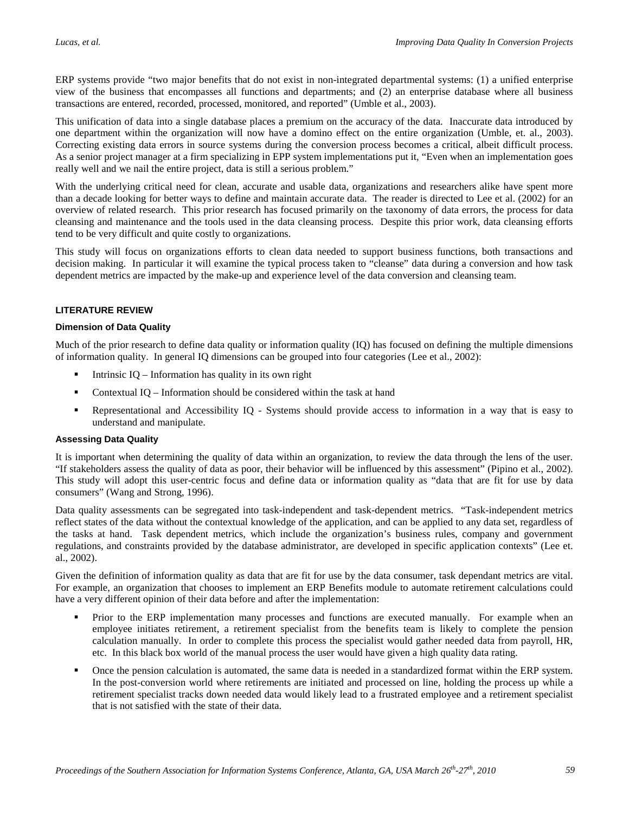ERP systems provide "two major benefits that do not exist in non-integrated departmental systems: (1) a unified enterprise view of the business that encompasses all functions and departments; and (2) an enterprise database where all business transactions are entered, recorded, processed, monitored, and reported" (Umble et al., 2003).

This unification of data into a single database places a premium on the accuracy of the data. Inaccurate data introduced by one department within the organization will now have a domino effect on the entire organization (Umble, et. al., 2003). Correcting existing data errors in source systems during the conversion process becomes a critical, albeit difficult process. As a senior project manager at a firm specializing in EPP system implementations put it, "Even when an implementation goes really well and we nail the entire project, data is still a serious problem."

With the underlying critical need for clean, accurate and usable data, organizations and researchers alike have spent more than a decade looking for better ways to define and maintain accurate data. The reader is directed to Lee et al. (2002) for an overview of related research. This prior research has focused primarily on the taxonomy of data errors, the process for data cleansing and maintenance and the tools used in the data cleansing process. Despite this prior work, data cleansing efforts tend to be very difficult and quite costly to organizations.

This study will focus on organizations efforts to clean data needed to support business functions, both transactions and decision making. In particular it will examine the typical process taken to "cleanse" data during a conversion and how task dependent metrics are impacted by the make-up and experience level of the data conversion and cleansing team.

#### **LITERATURE REVIEW**

#### **Dimension of Data Quality**

Much of the prior research to define data quality or information quality (IQ) has focused on defining the multiple dimensions of information quality. In general IQ dimensions can be grouped into four categories (Lee et al., 2002):

- Intrinsic IQ Information has quality in its own right
- Contextual IQ Information should be considered within the task at hand
- Representational and Accessibility IQ Systems should provide access to information in a way that is easy to understand and manipulate.

#### **Assessing Data Quality**

It is important when determining the quality of data within an organization, to review the data through the lens of the user. "If stakeholders assess the quality of data as poor, their behavior will be influenced by this assessment" (Pipino et al., 2002). This study will adopt this user-centric focus and define data or information quality as "data that are fit for use by data consumers" (Wang and Strong, 1996).

Data quality assessments can be segregated into task-independent and task-dependent metrics. "Task-independent metrics reflect states of the data without the contextual knowledge of the application, and can be applied to any data set, regardless of the tasks at hand. Task dependent metrics, which include the organization's business rules, company and government regulations, and constraints provided by the database administrator, are developed in specific application contexts" (Lee et. al., 2002).

Given the definition of information quality as data that are fit for use by the data consumer, task dependant metrics are vital. For example, an organization that chooses to implement an ERP Benefits module to automate retirement calculations could have a very different opinion of their data before and after the implementation:

- Prior to the ERP implementation many processes and functions are executed manually. For example when an employee initiates retirement, a retirement specialist from the benefits team is likely to complete the pension calculation manually. In order to complete this process the specialist would gather needed data from payroll, HR, etc. In this black box world of the manual process the user would have given a high quality data rating.
- Once the pension calculation is automated, the same data is needed in a standardized format within the ERP system. In the post-conversion world where retirements are initiated and processed on line, holding the process up while a retirement specialist tracks down needed data would likely lead to a frustrated employee and a retirement specialist that is not satisfied with the state of their data.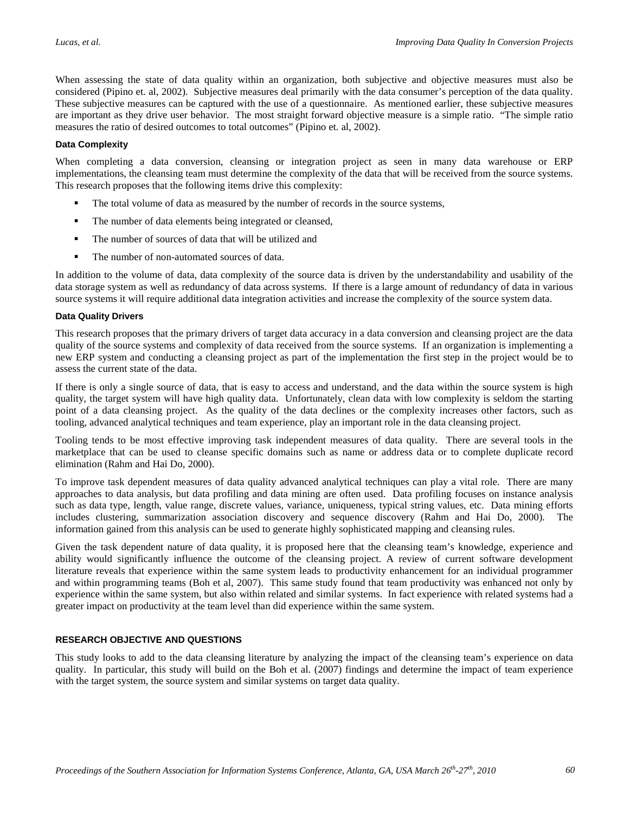When assessing the state of data quality within an organization, both subjective and objective measures must also be considered (Pipino et. al, 2002). Subjective measures deal primarily with the data consumer's perception of the data quality. These subjective measures can be captured with the use of a questionnaire. As mentioned earlier, these subjective measures are important as they drive user behavior. The most straight forward objective measure is a simple ratio. "The simple ratio measures the ratio of desired outcomes to total outcomes" (Pipino et. al, 2002).

#### **Data Complexity**

When completing a data conversion, cleansing or integration project as seen in many data warehouse or ERP implementations, the cleansing team must determine the complexity of the data that will be received from the source systems. This research proposes that the following items drive this complexity:

- The total volume of data as measured by the number of records in the source systems,
- The number of data elements being integrated or cleansed,
- The number of sources of data that will be utilized and
- The number of non-automated sources of data.

In addition to the volume of data, data complexity of the source data is driven by the understandability and usability of the data storage system as well as redundancy of data across systems. If there is a large amount of redundancy of data in various source systems it will require additional data integration activities and increase the complexity of the source system data.

#### **Data Quality Drivers**

This research proposes that the primary drivers of target data accuracy in a data conversion and cleansing project are the data quality of the source systems and complexity of data received from the source systems. If an organization is implementing a new ERP system and conducting a cleansing project as part of the implementation the first step in the project would be to assess the current state of the data.

If there is only a single source of data, that is easy to access and understand, and the data within the source system is high quality, the target system will have high quality data. Unfortunately, clean data with low complexity is seldom the starting point of a data cleansing project. As the quality of the data declines or the complexity increases other factors, such as tooling, advanced analytical techniques and team experience, play an important role in the data cleansing project.

Tooling tends to be most effective improving task independent measures of data quality. There are several tools in the marketplace that can be used to cleanse specific domains such as name or address data or to complete duplicate record elimination (Rahm and Hai Do, 2000).

To improve task dependent measures of data quality advanced analytical techniques can play a vital role. There are many approaches to data analysis, but data profiling and data mining are often used. Data profiling focuses on instance analysis such as data type, length, value range, discrete values, variance, uniqueness, typical string values, etc. Data mining efforts includes clustering, summarization association discovery and sequence discovery (Rahm and Hai Do, 2000). The information gained from this analysis can be used to generate highly sophisticated mapping and cleansing rules.

Given the task dependent nature of data quality, it is proposed here that the cleansing team's knowledge, experience and ability would significantly influence the outcome of the cleansing project. A review of current software development literature reveals that experience within the same system leads to productivity enhancement for an individual programmer and within programming teams (Boh et al, 2007). This same study found that team productivity was enhanced not only by experience within the same system, but also within related and similar systems. In fact experience with related systems had a greater impact on productivity at the team level than did experience within the same system.

#### **RESEARCH OBJECTIVE AND QUESTIONS**

This study looks to add to the data cleansing literature by analyzing the impact of the cleansing team's experience on data quality. In particular, this study will build on the Boh et al. (2007) findings and determine the impact of team experience with the target system, the source system and similar systems on target data quality.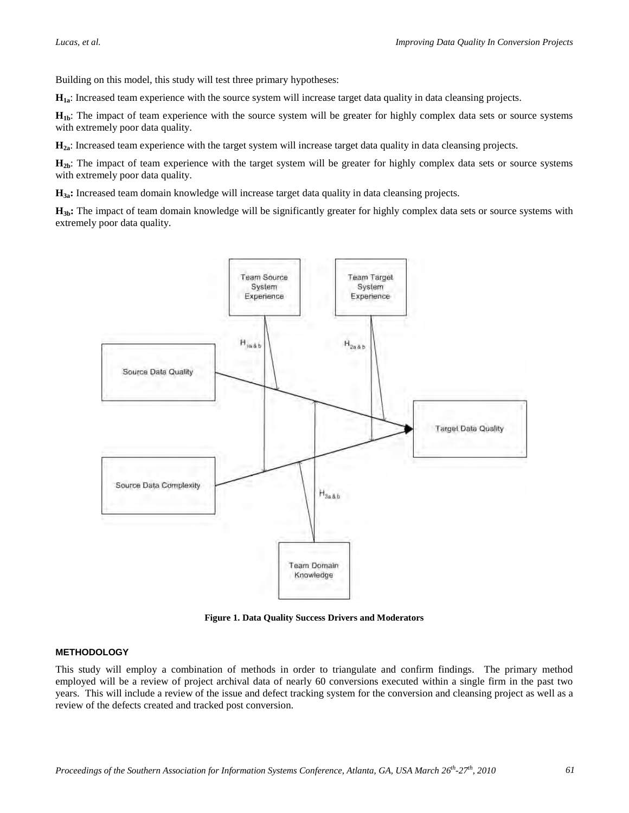Building on this model, this study will test three primary hypotheses:

**H1a**: Increased team experience with the source system will increase target data quality in data cleansing projects.

**H<sub>1b</sub>**: The impact of team experience with the source system will be greater for highly complex data sets or source systems with extremely poor data quality.

**H2a**: Increased team experience with the target system will increase target data quality in data cleansing projects.

H<sub>2b</sub>: The impact of team experience with the target system will be greater for highly complex data sets or source systems with extremely poor data quality.

**H3a:** Increased team domain knowledge will increase target data quality in data cleansing projects.

H<sub>3b</sub>: The impact of team domain knowledge will be significantly greater for highly complex data sets or source systems with extremely poor data quality.



**Figure 1. Data Quality Success Drivers and Moderators**

#### **METHODOLOGY**

This study will employ a combination of methods in order to triangulate and confirm findings. The primary method employed will be a review of project archival data of nearly 60 conversions executed within a single firm in the past two years. This will include a review of the issue and defect tracking system for the conversion and cleansing project as well as a review of the defects created and tracked post conversion.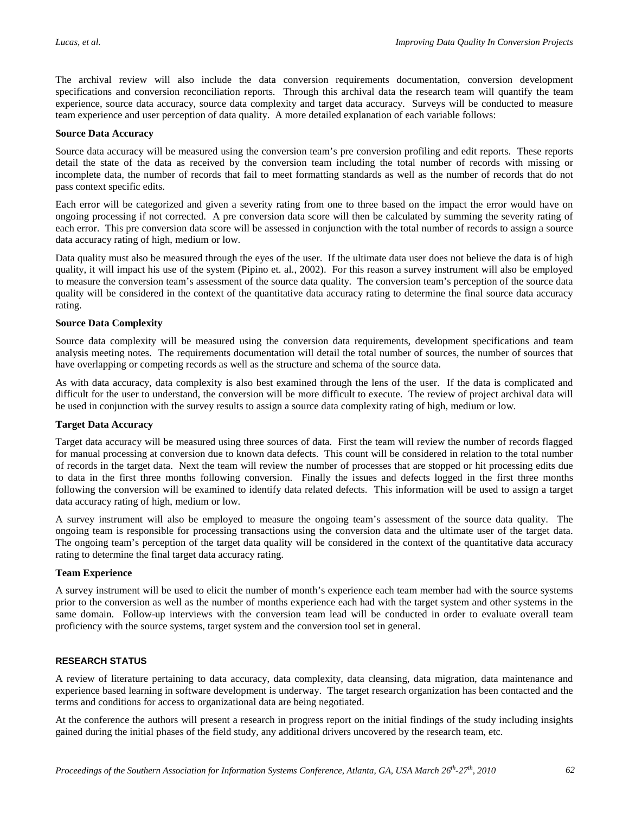The archival review will also include the data conversion requirements documentation, conversion development specifications and conversion reconciliation reports. Through this archival data the research team will quantify the team experience, source data accuracy, source data complexity and target data accuracy. Surveys will be conducted to measure team experience and user perception of data quality. A more detailed explanation of each variable follows:

#### **Source Data Accuracy**

Source data accuracy will be measured using the conversion team's pre conversion profiling and edit reports. These reports detail the state of the data as received by the conversion team including the total number of records with missing or incomplete data, the number of records that fail to meet formatting standards as well as the number of records that do not pass context specific edits.

Each error will be categorized and given a severity rating from one to three based on the impact the error would have on ongoing processing if not corrected. A pre conversion data score will then be calculated by summing the severity rating of each error. This pre conversion data score will be assessed in conjunction with the total number of records to assign a source data accuracy rating of high, medium or low.

Data quality must also be measured through the eyes of the user. If the ultimate data user does not believe the data is of high quality, it will impact his use of the system (Pipino et. al., 2002). For this reason a survey instrument will also be employed to measure the conversion team's assessment of the source data quality. The conversion team's perception of the source data quality will be considered in the context of the quantitative data accuracy rating to determine the final source data accuracy rating.

#### **Source Data Complexity**

Source data complexity will be measured using the conversion data requirements, development specifications and team analysis meeting notes. The requirements documentation will detail the total number of sources, the number of sources that have overlapping or competing records as well as the structure and schema of the source data.

As with data accuracy, data complexity is also best examined through the lens of the user. If the data is complicated and difficult for the user to understand, the conversion will be more difficult to execute. The review of project archival data will be used in conjunction with the survey results to assign a source data complexity rating of high, medium or low.

#### **Target Data Accuracy**

Target data accuracy will be measured using three sources of data. First the team will review the number of records flagged for manual processing at conversion due to known data defects. This count will be considered in relation to the total number of records in the target data. Next the team will review the number of processes that are stopped or hit processing edits due to data in the first three months following conversion. Finally the issues and defects logged in the first three months following the conversion will be examined to identify data related defects. This information will be used to assign a target data accuracy rating of high, medium or low.

A survey instrument will also be employed to measure the ongoing team's assessment of the source data quality. The ongoing team is responsible for processing transactions using the conversion data and the ultimate user of the target data. The ongoing team's perception of the target data quality will be considered in the context of the quantitative data accuracy rating to determine the final target data accuracy rating.

#### **Team Experience**

A survey instrument will be used to elicit the number of month's experience each team member had with the source systems prior to the conversion as well as the number of months experience each had with the target system and other systems in the same domain. Follow-up interviews with the conversion team lead will be conducted in order to evaluate overall team proficiency with the source systems, target system and the conversion tool set in general.

#### **RESEARCH STATUS**

A review of literature pertaining to data accuracy, data complexity, data cleansing, data migration, data maintenance and experience based learning in software development is underway. The target research organization has been contacted and the terms and conditions for access to organizational data are being negotiated.

At the conference the authors will present a research in progress report on the initial findings of the study including insights gained during the initial phases of the field study, any additional drivers uncovered by the research team, etc.